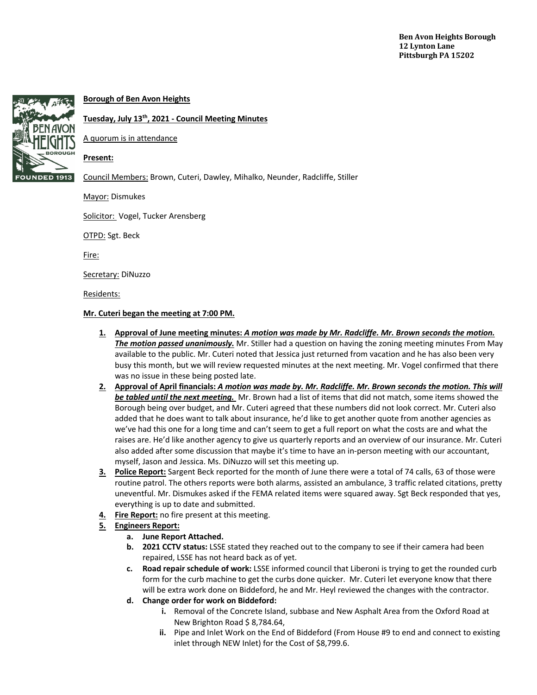

# **Borough of Ben Avon Heights**

## **Tuesday, July 13th, 2021 - Council Meeting Minutes**

A quorum is in attendance

### **Present:**

Council Members: Brown, Cuteri, Dawley, Mihalko, Neunder, Radcliffe, Stiller

Mayor: Dismukes

Solicitor: Vogel, Tucker Arensberg

OTPD: Sgt. Beck

Fire:

Secretary: DiNuzzo

Residents:

#### **Mr. Cuteri began the meeting at 7:00 PM.**

- **1. Approval of June meeting minutes:** *A motion was made by Mr. Radcliffe. Mr. Brown seconds the motion. The motion passed unanimously.* Mr. Stiller had a question on having the zoning meeting minutes From May available to the public. Mr. Cuteri noted that Jessica just returned from vacation and he has also been very busy this month, but we will review requested minutes at the next meeting. Mr. Vogel confirmed that there was no issue in these being posted late.
- **2. Approval of April financials:** *A motion was made by. Mr. Radcliffe. Mr. Brown seconds the motion. This will be tabled until the next meeting.* Mr. Brown had a list of items that did not match, some items showed the Borough being over budget, and Mr. Cuteri agreed that these numbers did not look correct. Mr. Cuteri also added that he does want to talk about insurance, he'd like to get another quote from another agencies as we've had this one for a long time and can't seem to get a full report on what the costs are and what the raises are. He'd like another agency to give us quarterly reports and an overview of our insurance. Mr. Cuteri also added after some discussion that maybe it's time to have an in-person meeting with our accountant, myself, Jason and Jessica. Ms. DiNuzzo will set this meeting up.
- **3. Police Report:** Sargent Beck reported for the month of June there were a total of 74 calls, 63 of those were routine patrol. The others reports were both alarms, assisted an ambulance, 3 traffic related citations, pretty uneventful. Mr. Dismukes asked if the FEMA related items were squared away. Sgt Beck responded that yes, everything is up to date and submitted.
- **4. Fire Report:** no fire present at this meeting.

## **5. Engineers Report:**

- **a. June Report Attached.**
- **b. 2021 CCTV status:** LSSE stated they reached out to the company to see if their camera had been repaired, LSSE has not heard back as of yet.
- **c. Road repair schedule of work:** LSSE informed council that Liberoni is trying to get the rounded curb form for the curb machine to get the curbs done quicker. Mr. Cuteri let everyone know that there will be extra work done on Biddeford, he and Mr. Heyl reviewed the changes with the contractor.
- **d. Change order for work on Biddeford:** 
	- **i.** Removal of the Concrete Island, subbase and New Asphalt Area from the Oxford Road at New Brighton Road \$ 8,784.64,
	- **ii.** Pipe and Inlet Work on the End of Biddeford (From House #9 to end and connect to existing inlet through NEW Inlet) for the Cost of \$8,799.6.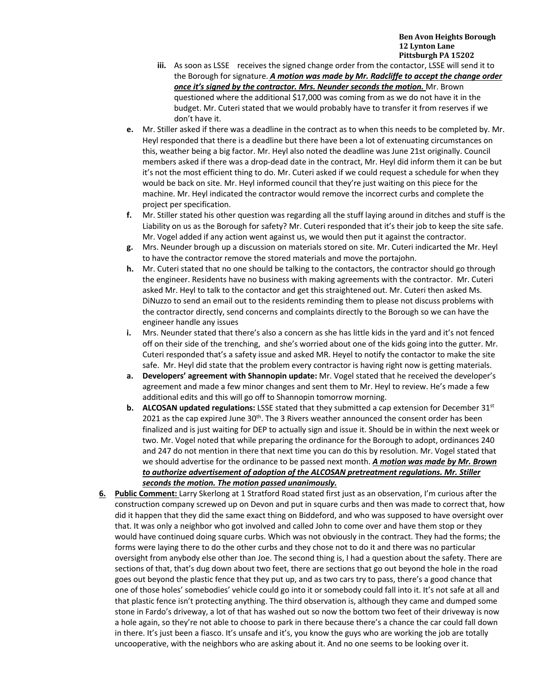- **iii.** As soon as LSSE receives the signed change order from the contactor, LSSE will send it to the Borough for signature. *A motion was made by Mr. Radcliffe to accept the change order*  **once it's signed by the contractor. Mrs. Neunder seconds the motion.** Mr. Brown questioned where the additional \$17,000 was coming from as we do not have it in the budget. Mr. Cuteri stated that we would probably have to transfer it from reserves if we don't have it.
- **e.** Mr. Stiller asked if there was a deadline in the contract as to when this needs to be completed by. Mr. Heyl responded that there is a deadline but there have been a lot of extenuating circumstances on this, weather being a big factor. Mr. Heyl also noted the deadline was June 21st originally. Council members asked if there was a drop-dead date in the contract, Mr. Heyl did inform them it can be but it's not the most efficient thing to do. Mr. Cuteri asked if we could request a schedule for when they would be back on site. Mr. Heyl informed council that they're just waiting on this piece for the machine. Mr. Heyl indicated the contractor would remove the incorrect curbs and complete the project per specification.
- **f.** Mr. Stiller stated his other question was regarding all the stuff laying around in ditches and stuff is the Liability on us as the Borough for safety? Mr. Cuteri responded that it's their job to keep the site safe. Mr. Vogel added if any action went against us, we would then put it against the contractor.
- **g.** Mrs. Neunder brough up a discussion on materials stored on site. Mr. Cuteri indicarted the Mr. Heyl to have the contractor remove the stored materials and move the portajohn.
- **h.** Mr. Cuteri stated that no one should be talking to the contactors, the contractor should go through the engineer. Residents have no business with making agreements with the contractor. Mr. Cuteri asked Mr. Heyl to talk to the contactor and get this straightened out. Mr. Cuteri then asked Ms. DiNuzzo to send an email out to the residents reminding them to please not discuss problems with the contractor directly, send concerns and complaints directly to the Borough so we can have the engineer handle any issues
- **i.** Mrs. Neunder stated that there's also a concern as she has little kids in the yard and it's not fenced off on their side of the trenching, and she's worried about one of the kids going into the gutter. Mr. Cuteri responded that's a safety issue and asked MR. Heyel to notify the contactor to make the site safe. Mr. Heyl did state that the problem every contractor is having right now is getting materials.
- **a. Developers' agreement with Shannopin update:** Mr. Vogel stated that he received the developer's agreement and made a few minor changes and sent them to Mr. Heyl to review. He's made a few additional edits and this will go off to Shannopin tomorrow morning.
- **b. ALCOSAN updated regulations:** LSSE stated that they submitted a cap extension for December 31<sup>st</sup> 2021 as the cap expired June  $30<sup>th</sup>$ . The 3 Rivers weather announced the consent order has been finalized and is just waiting for DEP to actually sign and issue it. Should be in within the next week or two. Mr. Vogel noted that while preparing the ordinance for the Borough to adopt, ordinances 240 and 247 do not mention in there that next time you can do this by resolution. Mr. Vogel stated that we should advertise for the ordinance to be passed next month. *A motion was made by Mr. Brown to authorize advertisement of adoption of the ALCOSAN pretreatment regulations. Mr. Stiller seconds the motion. The motion passed unanimously.*
- **6. Public Comment:** Larry Skerlong at 1 Stratford Road stated first just as an observation, I'm curious after the construction company screwed up on Devon and put in square curbs and then was made to correct that, how did it happen that they did the same exact thing on Biddeford, and who was supposed to have oversight over that. It was only a neighbor who got involved and called John to come over and have them stop or they would have continued doing square curbs. Which was not obviously in the contract. They had the forms; the forms were laying there to do the other curbs and they chose not to do it and there was no particular oversight from anybody else other than Joe. The second thing is, I had a question about the safety. There are sections of that, that's dug down about two feet, there are sections that go out beyond the hole in the road goes out beyond the plastic fence that they put up, and as two cars try to pass, there's a good chance that one of those holes' somebodies' vehicle could go into it or somebody could fall into it. It's not safe at all and that plastic fence isn't protecting anything. The third observation is, although they came and dumped some stone in Fardo's driveway, a lot of that has washed out so now the bottom two feet of their driveway is now a hole again, so they're not able to choose to park in there because there's a chance the car could fall down in there. It's just been a fiasco. It's unsafe and it's, you know the guys who are working the job are totally uncooperative, with the neighbors who are asking about it. And no one seems to be looking over it.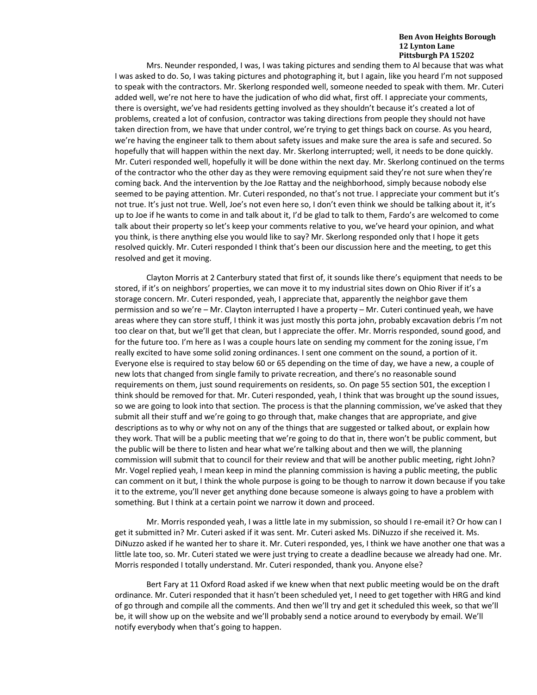Mrs. Neunder responded, I was, I was taking pictures and sending them to Al because that was what I was asked to do. So, I was taking pictures and photographing it, but I again, like you heard I'm not supposed to speak with the contractors. Mr. Skerlong responded well, someone needed to speak with them. Mr. Cuteri added well, we're not here to have the judication of who did what, first off. I appreciate your comments, there is oversight, we've had residents getting involved as they shouldn't because it's created a lot of problems, created a lot of confusion, contractor was taking directions from people they should not have taken direction from, we have that under control, we're trying to get things back on course. As you heard, we're having the engineer talk to them about safety issues and make sure the area is safe and secured. So hopefully that will happen within the next day. Mr. Skerlong interrupted; well, it needs to be done quickly. Mr. Cuteri responded well, hopefully it will be done within the next day. Mr. Skerlong continued on the terms of the contractor who the other day as they were removing equipment said they're not sure when they're coming back. And the intervention by the Joe Rattay and the neighborhood, simply because nobody else seemed to be paying attention. Mr. Cuteri responded, no that's not true. I appreciate your comment but it's not true. It's just not true. Well, Joe's not even here so, I don't even think we should be talking about it, it's up to Joe if he wants to come in and talk about it, I'd be glad to talk to them, Fardo's are welcomed to come talk about their property so let's keep your comments relative to you, we've heard your opinion, and what you think, is there anything else you would like to say? Mr. Skerlong responded only that I hope it gets resolved quickly. Mr. Cuteri responded I think that's been our discussion here and the meeting, to get this resolved and get it moving.

Clayton Morris at 2 Canterbury stated that first of, it sounds like there's equipment that needs to be stored, if it's on neighbors' properties, we can move it to my industrial sites down on Ohio River if it's a storage concern. Mr. Cuteri responded, yeah, I appreciate that, apparently the neighbor gave them permission and so we're – Mr. Clayton interrupted I have a property – Mr. Cuteri continued yeah, we have areas where they can store stuff, I think it was just mostly this porta john, probably excavation debris I'm not too clear on that, but we'll get that clean, but I appreciate the offer. Mr. Morris responded, sound good, and for the future too. I'm here as I was a couple hours late on sending my comment for the zoning issue, I'm really excited to have some solid zoning ordinances. I sent one comment on the sound, a portion of it. Everyone else is required to stay below 60 or 65 depending on the time of day, we have a new, a couple of new lots that changed from single family to private recreation, and there's no reasonable sound requirements on them, just sound requirements on residents, so. On page 55 section 501, the exception I think should be removed for that. Mr. Cuteri responded, yeah, I think that was brought up the sound issues, so we are going to look into that section. The process is that the planning commission, we've asked that they submit all their stuff and we're going to go through that, make changes that are appropriate, and give descriptions as to why or why not on any of the things that are suggested or talked about, or explain how they work. That will be a public meeting that we're going to do that in, there won't be public comment, but the public will be there to listen and hear what we're talking about and then we will, the planning commission will submit that to council for their review and that will be another public meeting, right John? Mr. Vogel replied yeah, I mean keep in mind the planning commission is having a public meeting, the public can comment on it but, I think the whole purpose is going to be though to narrow it down because if you take it to the extreme, you'll never get anything done because someone is always going to have a problem with something. But I think at a certain point we narrow it down and proceed.

Mr. Morris responded yeah, I was a little late in my submission, so should I re-email it? Or how can I get it submitted in? Mr. Cuteri asked if it was sent. Mr. Cuteri asked Ms. DiNuzzo if she received it. Ms. DiNuzzo asked if he wanted her to share it. Mr. Cuteri responded, yes, I think we have another one that was a little late too, so. Mr. Cuteri stated we were just trying to create a deadline because we already had one. Mr. Morris responded I totally understand. Mr. Cuteri responded, thank you. Anyone else?

Bert Fary at 11 Oxford Road asked if we knew when that next public meeting would be on the draft ordinance. Mr. Cuteri responded that it hasn't been scheduled yet, I need to get together with HRG and kind of go through and compile all the comments. And then we'll try and get it scheduled this week, so that we'll be, it will show up on the website and we'll probably send a notice around to everybody by email. We'll notify everybody when that's going to happen.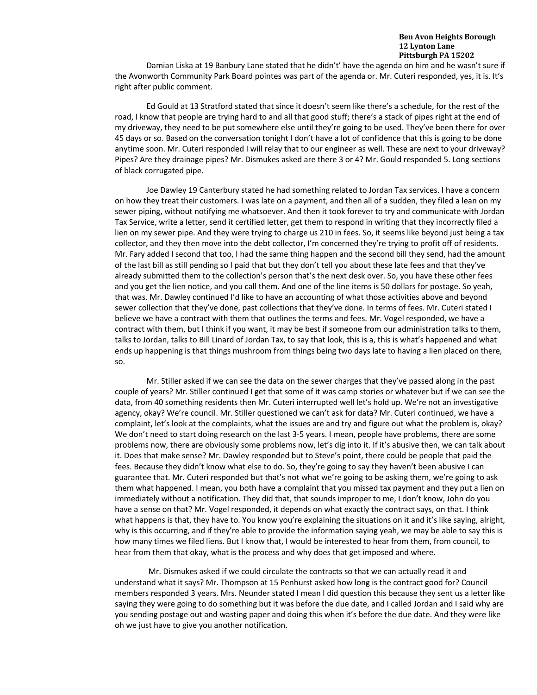Damian Liska at 19 Banbury Lane stated that he didn't' have the agenda on him and he wasn't sure if the Avonworth Community Park Board pointes was part of the agenda or. Mr. Cuteri responded, yes, it is. It's right after public comment.

Ed Gould at 13 Stratford stated that since it doesn't seem like there's a schedule, for the rest of the road, I know that people are trying hard to and all that good stuff; there's a stack of pipes right at the end of my driveway, they need to be put somewhere else until they're going to be used. They've been there for over 45 days or so. Based on the conversation tonight I don't have a lot of confidence that this is going to be done anytime soon. Mr. Cuteri responded I will relay that to our engineer as well. These are next to your driveway? Pipes? Are they drainage pipes? Mr. Dismukes asked are there 3 or 4? Mr. Gould responded 5. Long sections of black corrugated pipe.

Joe Dawley 19 Canterbury stated he had something related to Jordan Tax services. I have a concern on how they treat their customers. I was late on a payment, and then all of a sudden, they filed a lean on my sewer piping, without notifying me whatsoever. And then it took forever to try and communicate with Jordan Tax Service, write a letter, send it certified letter, get them to respond in writing that they incorrectly filed a lien on my sewer pipe. And they were trying to charge us 210 in fees. So, it seems like beyond just being a tax collector, and they then move into the debt collector, I'm concerned they're trying to profit off of residents. Mr. Fary added I second that too, I had the same thing happen and the second bill they send, had the amount of the last bill as still pending so I paid that but they don't tell you about these late fees and that they've already submitted them to the collection's person that's the next desk over. So, you have these other fees and you get the lien notice, and you call them. And one of the line items is 50 dollars for postage. So yeah, that was. Mr. Dawley continued I'd like to have an accounting of what those activities above and beyond sewer collection that they've done, past collections that they've done. In terms of fees. Mr. Cuteri stated I believe we have a contract with them that outlines the terms and fees. Mr. Vogel responded, we have a contract with them, but I think if you want, it may be best if someone from our administration talks to them, talks to Jordan, talks to Bill Linard of Jordan Tax, to say that look, this is a, this is what's happened and what ends up happening is that things mushroom from things being two days late to having a lien placed on there, so.

Mr. Stiller asked if we can see the data on the sewer charges that they've passed along in the past couple of years? Mr. Stiller continued I get that some of it was camp stories or whatever but if we can see the data, from 40 something residents then Mr. Cuteri interrupted well let's hold up. We're not an investigative agency, okay? We're council. Mr. Stiller questioned we can't ask for data? Mr. Cuteri continued, we have a complaint, let's look at the complaints, what the issues are and try and figure out what the problem is, okay? We don't need to start doing research on the last 3-5 years. I mean, people have problems, there are some problems now, there are obviously some problems now, let's dig into it. If it's abusive then, we can talk about it. Does that make sense? Mr. Dawley responded but to Steve's point, there could be people that paid the fees. Because they didn't know what else to do. So, they're going to say they haven't been abusive I can guarantee that. Mr. Cuteri responded but that's not what we're going to be asking them, we're going to ask them what happened. I mean, you both have a complaint that you missed tax payment and they put a lien on immediately without a notification. They did that, that sounds improper to me, I don't know, John do you have a sense on that? Mr. Vogel responded, it depends on what exactly the contract says, on that. I think what happens is that, they have to. You know you're explaining the situations on it and it's like saying, alright, why is this occurring, and if they're able to provide the information saying yeah, we may be able to say this is how many times we filed liens. But I know that, I would be interested to hear from them, from council, to hear from them that okay, what is the process and why does that get imposed and where.

Mr. Dismukes asked if we could circulate the contracts so that we can actually read it and understand what it says? Mr. Thompson at 15 Penhurst asked how long is the contract good for? Council members responded 3 years. Mrs. Neunder stated I mean I did question this because they sent us a letter like saying they were going to do something but it was before the due date, and I called Jordan and I said why are you sending postage out and wasting paper and doing this when it's before the due date. And they were like oh we just have to give you another notification.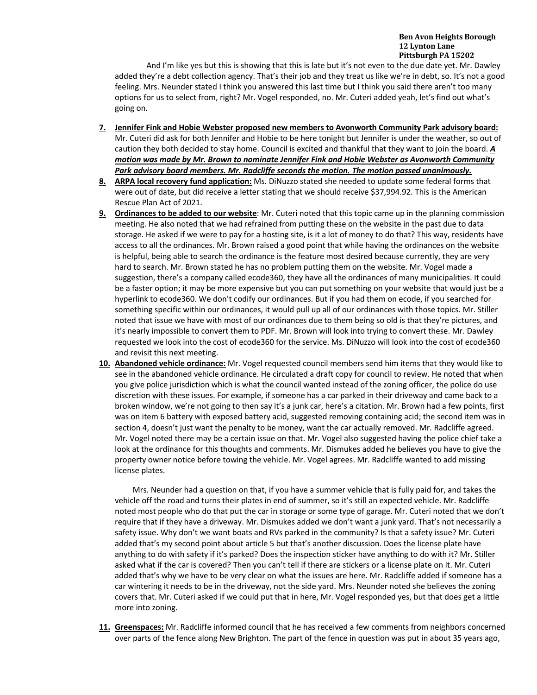And I'm like yes but this is showing that this is late but it's not even to the due date yet. Mr. Dawley added they're a debt collection agency. That's their job and they treat us like we're in debt, so. It's not a good feeling. Mrs. Neunder stated I think you answered this last time but I think you said there aren't too many options for us to select from, right? Mr. Vogel responded, no. Mr. Cuteri added yeah, let's find out what's going on.

- **7. Jennifer Fink and Hobie Webster proposed new members to Avonworth Community Park advisory board:**  Mr. Cuteri did ask for both Jennifer and Hobie to be here tonight but Jennifer is under the weather, so out of caution they both decided to stay home. Council is excited and thankful that they want to join the board. *A motion was made by Mr. Brown to nominate Jennifer Fink and Hobie Webster as Avonworth Community*  Park advisory board members. Mr. Radcliffe seconds the motion. The motion passed unanimously.
- **8. ARPA local recovery fund application:** Ms. DiNuzzo stated she needed to update some federal forms that were out of date, but did receive a letter stating that we should receive \$37,994.92. This is the American Rescue Plan Act of 2021.
- **9. Ordinances to be added to our website**: Mr. Cuteri noted that this topic came up in the planning commission meeting. He also noted that we had refrained from putting these on the website in the past due to data storage. He asked if we were to pay for a hosting site, is it a lot of money to do that? This way, residents have access to all the ordinances. Mr. Brown raised a good point that while having the ordinances on the website is helpful, being able to search the ordinance is the feature most desired because currently, they are very hard to search. Mr. Brown stated he has no problem putting them on the website. Mr. Vogel made a suggestion, there's a company called ecode360, they have all the ordinances of many municipalities. It could be a faster option; it may be more expensive but you can put something on your website that would just be a hyperlink to ecode360. We don't codify our ordinances. But if you had them on ecode, if you searched for something specific within our ordinances, it would pull up all of our ordinances with those topics. Mr. Stiller noted that issue we have with most of our ordinances due to them being so old is that they're pictures, and it's nearly impossible to convert them to PDF. Mr. Brown will look into trying to convert these. Mr. Dawley requested we look into the cost of ecode360 for the service. Ms. DiNuzzo will look into the cost of ecode360 and revisit this next meeting.
- **10. Abandoned vehicle ordinance:** Mr. Vogel requested council members send him items that they would like to see in the abandoned vehicle ordinance. He circulated a draft copy for council to review. He noted that when you give police jurisdiction which is what the council wanted instead of the zoning officer, the police do use discretion with these issues. For example, if someone has a car parked in their driveway and came back to a broken window, we're not going to then say it's a junk car, here's a citation. Mr. Brown had a few points, first was on item 6 battery with exposed battery acid, suggested removing containing acid; the second item was in section 4, doesn't just want the penalty to be money, want the car actually removed. Mr. Radcliffe agreed. Mr. Vogel noted there may be a certain issue on that. Mr. Vogel also suggested having the police chief take a look at the ordinance for this thoughts and comments. Mr. Dismukes added he believes you have to give the property owner notice before towing the vehicle. Mr. Vogel agrees. Mr. Radcliffe wanted to add missing license plates.

Mrs. Neunder had a question on that, if you have a summer vehicle that is fully paid for, and takes the vehicle off the road and turns their plates in end of summer, so it's still an expected vehicle. Mr. Radcliffe noted most people who do that put the car in storage or some type of garage. Mr. Cuteri noted that we don't require that if they have a driveway. Mr. Dismukes added we don't want a junk yard. That's not necessarily a safety issue. Why don't we want boats and RVs parked in the community? Is that a safety issue? Mr. Cuteri added that's my second point about article 5 but that's another discussion. Does the license plate have anything to do with safety if it's parked? Does the inspection sticker have anything to do with it? Mr. Stiller asked what if the car is covered? Then you can't tell if there are stickers or a license plate on it. Mr. Cuteri added that's why we have to be very clear on what the issues are here. Mr. Radcliffe added if someone has a car wintering it needs to be in the driveway, not the side yard. Mrs. Neunder noted she believes the zoning covers that. Mr. Cuteri asked if we could put that in here, Mr. Vogel responded yes, but that does get a little more into zoning.

**11. Greenspaces:** Mr. Radcliffe informed council that he has received a few comments from neighbors concerned over parts of the fence along New Brighton. The part of the fence in question was put in about 35 years ago,